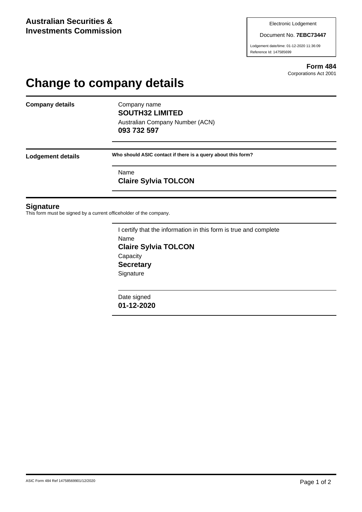#### Document No. **7EBC73447**

Lodgement date/time: 01-12-2020 11:36:09 Reference Id: 147585699

> **Form 484** Corporations Act 2001

# **Change to company details**

**Company details** Company name

**SOUTH32 LIMITED** Australian Company Number (ACN) **093 732 597**

**Lodgement details Who should ASIC contact if there is a query about this form?**

Name **Claire Sylvia TOLCON**

### **Signature**

This form must be signed by a current officeholder of the company.

I certify that the information in this form is true and complete Name **Claire Sylvia TOLCON Capacity Secretary Signature** 

Date signed **01-12-2020**